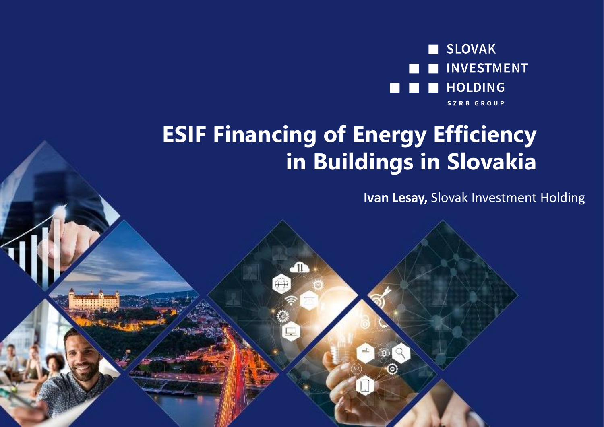

#### **ESIF Financing of Energy Efficiency in Buildings in Slovakia**

-n

**Ivan Lesay,** Slovak Investment Holding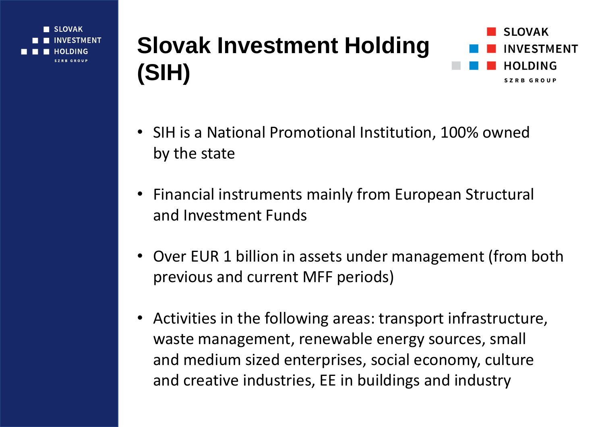**SLOVAK STMENT I DING** SZPR GRAHD

#### **Slovak Investment Holding (SIH)**



- SIH is a National Promotional Institution, 100% owned by the state
- Financial instruments mainly from European Structural and Investment Funds
- Over EUR 1 billion in assets under management (from both previous and current MFF periods)
- Activities in the following areas: transport infrastructure, waste management, renewable energy sources, small and medium sized enterprises, social economy, culture and creative industries, EE in buildings and industry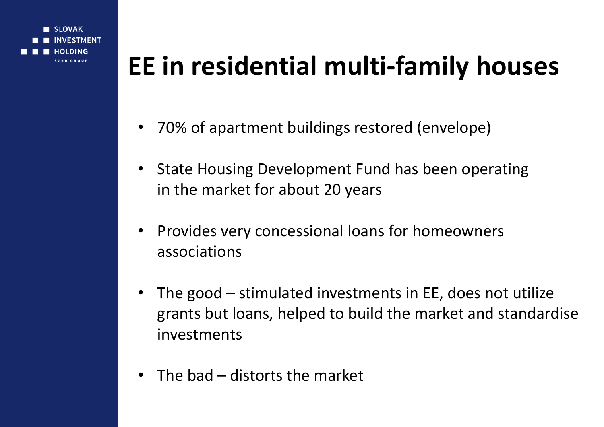

### **EE in residential multi-family houses**

- 70% of apartment buildings restored (envelope)
- State Housing Development Fund has been operating in the market for about 20 years
- Provides very concessional loans for homeowners associations
- The good  $-$  stimulated investments in EE, does not utilize grants but loans, helped to build the market and standardise investments
- The bad distorts the market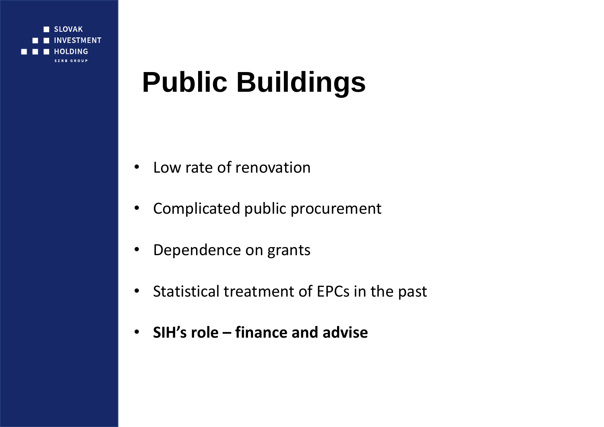

## **Public Buildings**

- Low rate of renovation
- Complicated public procurement
- Dependence on grants
- Statistical treatment of EPCs in the past
- **SIH's role – finance and advise**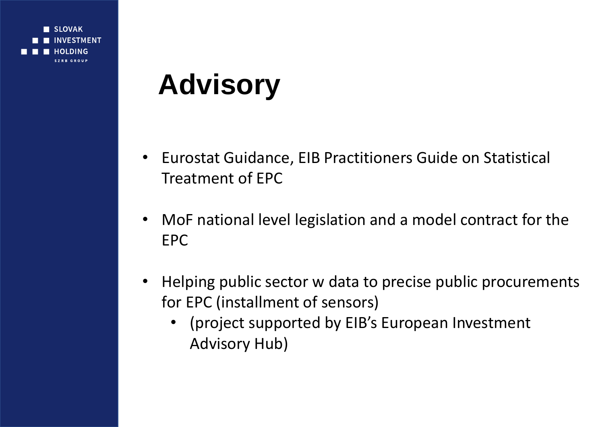**SLOVAK STMENT DING SZPR GRAHE** 

# **Advisory**

- Eurostat Guidance, EIB Practitioners Guide on Statistical Treatment of EPC
- MoF national level legislation and a model contract for the EPC
- Helping public sector w data to precise public procurements for EPC (installment of sensors)
	- (project supported by EIB's European Investment Advisory Hub)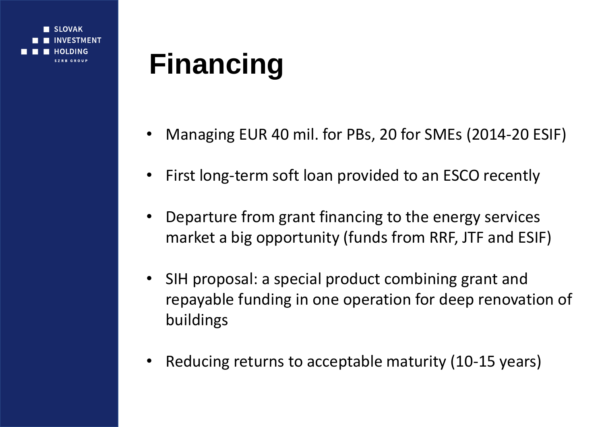**SLOVAK STMENT DING CZPR CPOUP** 

# **Financing**

- Managing EUR 40 mil. for PBs, 20 for SMEs (2014-20 ESIF)
- First long-term soft loan provided to an ESCO recently
- Departure from grant financing to the energy services market a big opportunity (funds from RRF, JTF and ESIF)
- SIH proposal: a special product combining grant and repayable funding in one operation for deep renovation of buildings
- Reducing returns to acceptable maturity (10-15 years)